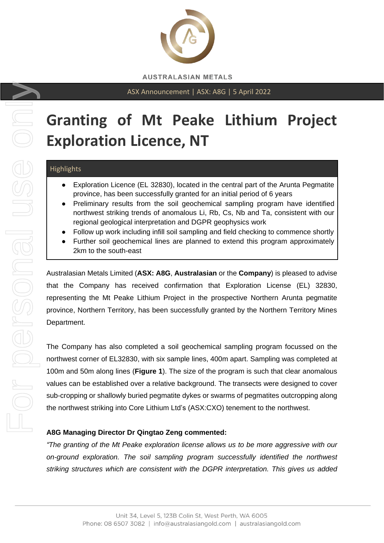

ASX Announcement | ASX: A8G | 5 April 2022

# **Granting of Mt Peake Lithium Project Exploration Licence, NT**

# **Highlights**

- Exploration Licence (EL 32830), located in the central part of the Arunta Pegmatite province, has been successfully granted for an initial period of 6 years
- Preliminary results from the soil geochemical sampling program have identified northwest striking trends of anomalous Li, Rb, Cs, Nb and Ta, consistent with our regional geological interpretation and DGPR geophysics work
- Follow up work including infill soil sampling and field checking to commence shortly
- Further soil geochemical lines are planned to extend this program approximately 2km to the south-east

Australasian Metals Limited (**ASX: A8G**, **Australasian** or the **Company**) is pleased to advise that the Company has received confirmation that Exploration License (EL) 32830, representing the Mt Peake Lithium Project in the prospective Northern Arunta pegmatite province, Northern Territory, has been successfully granted by the Northern Territory Mines Department.

The Company has also completed a soil geochemical sampling program focussed on the northwest corner of EL32830, with six sample lines, 400m apart. Sampling was completed at 100m and 50m along lines (**Figure 1**). The size of the program is such that clear anomalous values can be established over a relative background. The transects were designed to cover sub-cropping or shallowly buried pegmatite dykes or swarms of pegmatites outcropping along the northwest striking into Core Lithium Ltd's (ASX:CXO) tenement to the northwest.

# **A8G Managing Director Dr Qingtao Zeng commented:**

*"The granting of the Mt Peake exploration license allows us to be more aggressive with our on-ground exploration. The soil sampling program successfully identified the northwest striking structures which are consistent with the DGPR interpretation. This gives us added*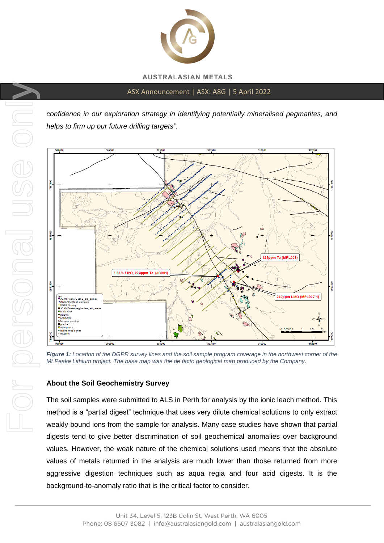

ASX Announcement | ASX: A8G | 5 April 2022

*confidence in our exploration strategy in identifying potentially mineralised pegmatites, and helps to firm up our future drilling targets".*



*Figure 1: Location of the DGPR survey lines and the soil sample program coverage in the northwest corner of the Mt Peake Lithium project. The base map was the de facto geological map produced by the Company.*

# **About the Soil Geochemistry Survey**

The soil samples were submitted to ALS in Perth for analysis by the ionic leach method. This method is a "partial digest" technique that uses very dilute chemical solutions to only extract weakly bound ions from the sample for analysis. Many case studies have shown that partial digests tend to give better discrimination of soil geochemical anomalies over background values. However, the weak nature of the chemical solutions used means that the absolute values of metals returned in the analysis are much lower than those returned from more aggressive digestion techniques such as aqua regia and four acid digests. It is the background-to-anomaly ratio that is the critical factor to consider.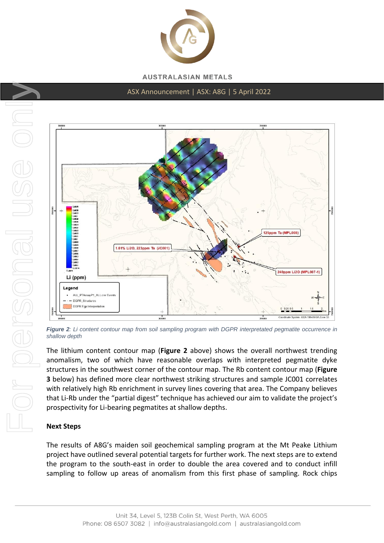

#### ASX Announcement | ASX: A8G | 5 April 2022



*Figure 2: Li content contour map from soil sampling program with DGPR interpretated pegmatite occurrence in shallow depth*

The lithium content contour map (**Figure 2** above) shows the overall northwest trending anomalism, two of which have reasonable overlaps with interpreted pegmatite dyke structures in the southwest corner of the contour map. The Rb content contour map (**Figure 3** below) has defined more clear northwest striking structures and sample JC001 correlates with relatively high Rb enrichment in survey lines covering that area. The Company believes that Li-Rb under the "partial digest" technique has achieved our aim to validate the project's prospectivity for Li-bearing pegmatites at shallow depths.

#### **Next Steps**

The results of A8G's maiden soil geochemical sampling program at the Mt Peake Lithium project have outlined several potential targets for further work. The next steps are to extend the program to the south-east in order to double the area covered and to conduct infill sampling to follow up areas of anomalism from this first phase of sampling. Rock chips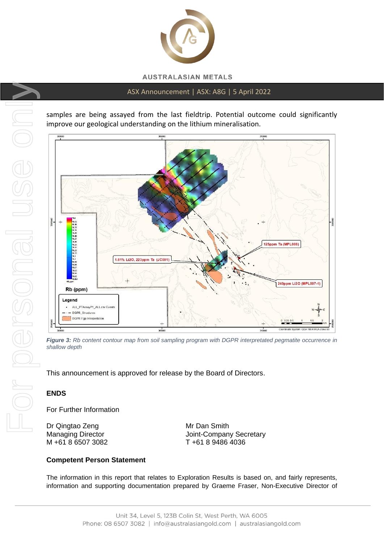

#### ASX Announcement | ASX: A8G | 5 April 2022

samples are being assayed from the last fieldtrip. Potential outcome could significantly improve our geological understanding on the lithium mineralisation.



*Figure 3: Rb content contour map from soil sampling program with DGPR interpretated pegmatite occurrence in shallow depth*

This announcement is approved for release by the Board of Directors.

#### **ENDS**

For Further Information

Dr Qingtao Zeng Mr Dan Smith M +61 8 6507 3082 T +61 8 9486 4036

Managing Director **Managing Director** Joint-Company Secretary

#### **Competent Person Statement**

The information in this report that relates to Exploration Results is based on, and fairly represents, information and supporting documentation prepared by Graeme Fraser, Non-Executive Director of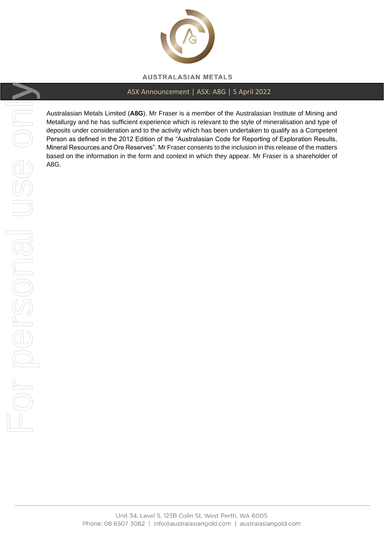

# ASX Announcement | ASX: A8G | 5 April 2022

Australasian Metals Limited (**A8G**). Mr Fraser is a member of the Australasian Institute of Mining and Metallurgy and he has sufficient experience which is relevant to the style of mineralisation and type of deposits under consideration and to the activity which has been undertaken to qualify as a Competent Person as defined in the 2012 Edition of the "Australasian Code for Reporting of Exploration Results, Mineral Resources and Ore Reserves". Mr Fraser consents to the inclusion in this release of the matters based on the information in the form and context in which they appear. Mr Fraser is a shareholder of A8G.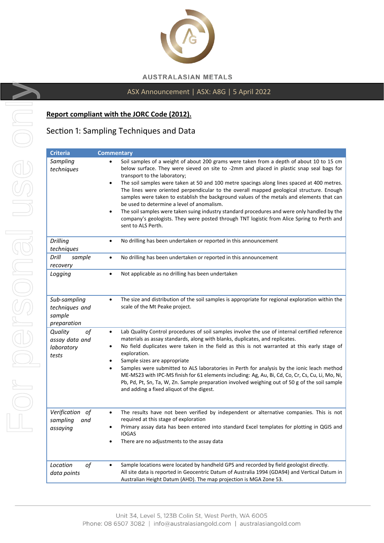

# ASX Announcement | ASX: A8G | 5 April 2022

#### **Report compliant with the JORC Code (2012).**

# Section 1: Sampling Techniques and Data

| <b>Criteria</b>                                         | <b>Commentary</b>                                                                                                                                                                                                                                                                                                                                                                                                                                                                                                                                                                                                                                                                                                                                                                                                   |
|---------------------------------------------------------|---------------------------------------------------------------------------------------------------------------------------------------------------------------------------------------------------------------------------------------------------------------------------------------------------------------------------------------------------------------------------------------------------------------------------------------------------------------------------------------------------------------------------------------------------------------------------------------------------------------------------------------------------------------------------------------------------------------------------------------------------------------------------------------------------------------------|
| Sampling<br>techniques                                  | Soil samples of a weight of about 200 grams were taken from a depth of about 10 to 15 cm<br>$\bullet$<br>below surface. They were sieved on site to -2mm and placed in plastic snap seal bags for<br>transport to the laboratory;<br>The soil samples were taken at 50 and 100 metre spacings along lines spaced at 400 metres.<br>$\bullet$<br>The lines were oriented perpendicular to the overall mapped geological structure. Enough<br>samples were taken to establish the background values of the metals and elements that can<br>be used to determine a level of anomalism.<br>The soil samples were taken suing industry standard procedures and were only handled by the<br>$\bullet$<br>company's geologists. They were posted through TNT logistic from Alice Spring to Perth and<br>sent to ALS Perth. |
| <b>Drilling</b><br>techniques                           | No drilling has been undertaken or reported in this announcement<br>٠                                                                                                                                                                                                                                                                                                                                                                                                                                                                                                                                                                                                                                                                                                                                               |
| Drill<br>sample<br>recovery                             | No drilling has been undertaken or reported in this announcement<br>$\bullet$                                                                                                                                                                                                                                                                                                                                                                                                                                                                                                                                                                                                                                                                                                                                       |
| Logging                                                 | Not applicable as no drilling has been undertaken<br>$\bullet$                                                                                                                                                                                                                                                                                                                                                                                                                                                                                                                                                                                                                                                                                                                                                      |
| Sub-sampling<br>techniques and<br>sample<br>preparation | The size and distribution of the soil samples is appropriate for regional exploration within the<br>$\bullet$<br>scale of the Mt Peake project.                                                                                                                                                                                                                                                                                                                                                                                                                                                                                                                                                                                                                                                                     |
| of<br>Quality<br>assay data and<br>laboratory<br>tests  | Lab Quality Control procedures of soil samples involve the use of internal certified reference<br>$\bullet$<br>materials as assay standards, along with blanks, duplicates, and replicates.<br>No field duplicates were taken in the field as this is not warranted at this early stage of<br>٠<br>exploration.<br>Sample sizes are appropriate<br>٠<br>Samples were submitted to ALS laboratories in Perth for analysis by the ionic leach method<br>ME-MS23 with IPC-MS finish for 61 elements including: Ag, Au, Bi, Cd, Co, Cr, Cs, Cu, Li, Mo, Ni,<br>Pb, Pd, Pt, Sn, Ta, W, Zn. Sample preparation involved weighing out of 50 g of the soil sample<br>and adding a fixed aliquot of the digest.                                                                                                              |
| Verification of<br>sampling<br>and<br>assaying          | The results have not been verified by independent or alternative companies. This is not<br>$\bullet$<br>required at this stage of exploration<br>Primary assay data has been entered into standard Excel templates for plotting in QGIS and<br><b>IOGAS</b><br>There are no adjustments to the assay data                                                                                                                                                                                                                                                                                                                                                                                                                                                                                                           |
| of<br>Location<br>data points                           | Sample locations were located by handheld GPS and recorded by field geologist directly.<br>$\bullet$<br>All site data is reported in Geocentric Datum of Australia 1994 (GDA94) and Vertical Datum in<br>Australian Height Datum (AHD). The map projection is MGA Zone 53.                                                                                                                                                                                                                                                                                                                                                                                                                                                                                                                                          |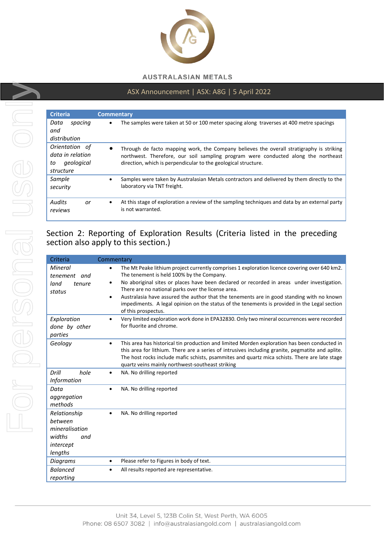

## ASX Announcement | ASX: A8G | 5 April 2022

| <b>Criteria</b>                                                     | <b>Commentary</b>                                                                                                                                                                                                                                |
|---------------------------------------------------------------------|--------------------------------------------------------------------------------------------------------------------------------------------------------------------------------------------------------------------------------------------------|
| Data<br>spacina<br>and<br>distribution                              | The samples were taken at 50 or 100 meter spacing along traverses at 400 metre spacings                                                                                                                                                          |
| Orientation of<br>data in relation<br>geological<br>to<br>structure | Through de facto mapping work, the Company believes the overall stratigraphy is striking<br>northwest. Therefore, our soil sampling program were conducted along the northeast<br>direction, which is perpendicular to the geological structure. |
| Sample<br>security                                                  | Samples were taken by Australasian Metals contractors and delivered by them directly to the<br>laboratory via TNT freight.                                                                                                                       |
| <b>Audits</b><br>or<br>reviews                                      | At this stage of exploration a review of the sampling techniques and data by an external party<br>$\bullet$<br>is not warranted.                                                                                                                 |

# Section 2: Reporting of Exploration Results (Criteria listed in the preceding section also apply to this section.)

| Criteria                                                                           | Commentary                                                                                                                                                                                                                                                                                                                                                                                                                                                                                                                                |
|------------------------------------------------------------------------------------|-------------------------------------------------------------------------------------------------------------------------------------------------------------------------------------------------------------------------------------------------------------------------------------------------------------------------------------------------------------------------------------------------------------------------------------------------------------------------------------------------------------------------------------------|
| Mineral<br>tenement<br>and<br>land<br>tenure<br>status                             | The Mt Peake lithium project currently comprises 1 exploration licence covering over 640 km2.<br>٠<br>The tenement is held 100% by the Company.<br>No aboriginal sites or places have been declared or recorded in areas under investigation.<br>٠<br>There are no national parks over the license area.<br>Australasia have assured the author that the tenements are in good standing with no known<br>$\bullet$<br>impediments. A legal opinion on the status of the tenements is provided in the Legal section<br>of this prospectus. |
| Exploration<br>done by other<br>parties                                            | Very limited exploration work done in EPA32830. Only two mineral occurrences were recorded<br>$\bullet$<br>for fluorite and chrome.                                                                                                                                                                                                                                                                                                                                                                                                       |
| Geology                                                                            | This area has historical tin production and limited Morden exploration has been conducted in<br>$\bullet$<br>this area for lithium. There are a series of intrusives including granite, pegmatite and aplite.<br>The host rocks include mafic schists, psammites and quartz mica schists. There are late stage<br>quartz veins mainly northwest-southeast striking                                                                                                                                                                        |
| Drill<br>hole<br><b>Information</b>                                                | NA. No drilling reported<br>$\bullet$                                                                                                                                                                                                                                                                                                                                                                                                                                                                                                     |
| Data<br>aggregation<br>methods                                                     | NA. No drilling reported                                                                                                                                                                                                                                                                                                                                                                                                                                                                                                                  |
| Relationship<br>between<br>mineralisation<br>widths<br>and<br>intercept<br>lengths | NA. No drilling reported                                                                                                                                                                                                                                                                                                                                                                                                                                                                                                                  |
| Diagrams                                                                           | Please refer to Figures in body of text.<br>$\bullet$                                                                                                                                                                                                                                                                                                                                                                                                                                                                                     |
| <b>Balanced</b><br>reporting                                                       | All results reported are representative.                                                                                                                                                                                                                                                                                                                                                                                                                                                                                                  |